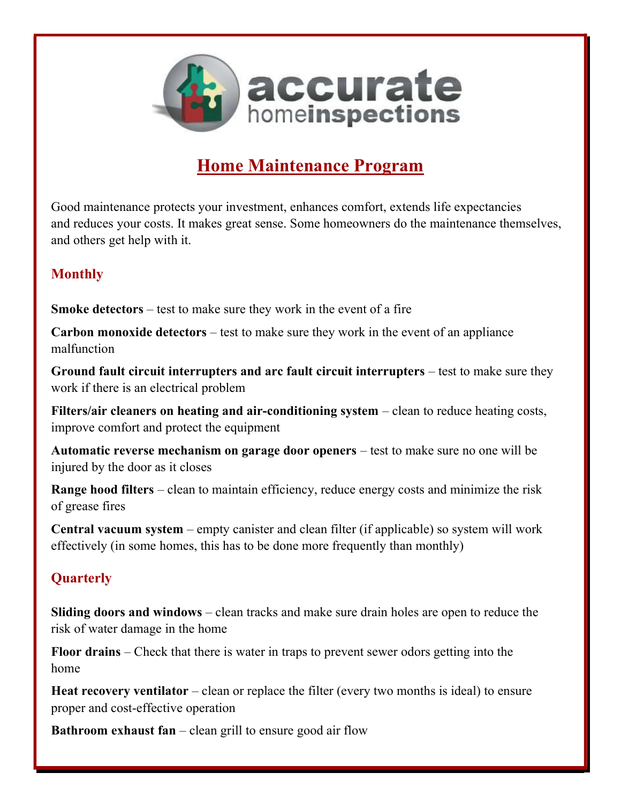

# Home Maintenance Program

Good maintenance protects your investment, enhances comfort, extends life expectancies and reduces your costs. It makes great sense. Some homeowners do the maintenance themselves, and others get help with it.

## Monthly

Smoke detectors – test to make sure they work in the event of a fire

Carbon monoxide detectors – test to make sure they work in the event of an appliance malfunction

Ground fault circuit interrupters and arc fault circuit interrupters – test to make sure they work if there is an electrical problem

Filters/air cleaners on heating and air-conditioning system – clean to reduce heating costs, improve comfort and protect the equipment

Automatic reverse mechanism on garage door openers – test to make sure no one will be injured by the door as it closes

Range hood filters – clean to maintain efficiency, reduce energy costs and minimize the risk of grease fires

Central vacuum system – empty canister and clean filter (if applicable) so system will work effectively (in some homes, this has to be done more frequently than monthly)

## **Quarterly**

Sliding doors and windows – clean tracks and make sure drain holes are open to reduce the risk of water damage in the home

Floor drains – Check that there is water in traps to prevent sewer odors getting into the home

Heat recovery ventilator – clean or replace the filter (every two months is ideal) to ensure proper and cost-effective operation

**Bathroom exhaust fan** – clean grill to ensure good air flow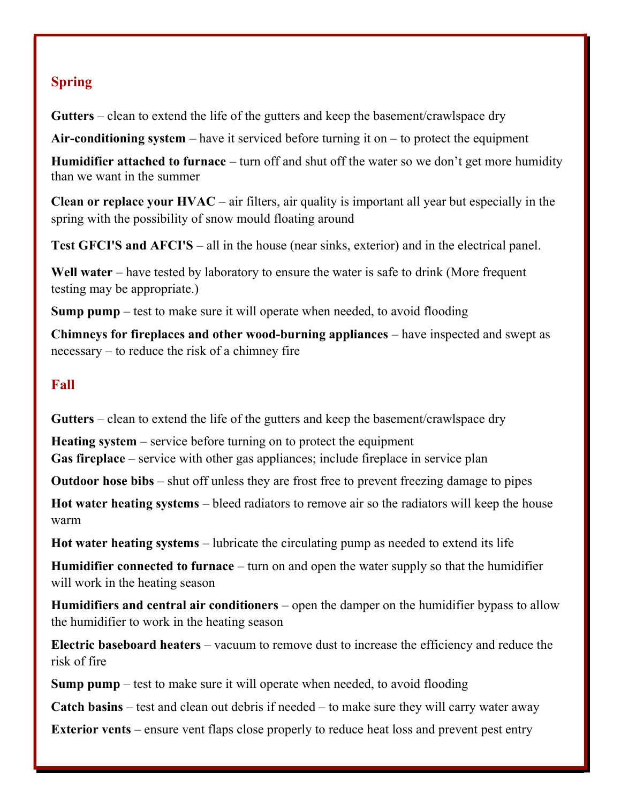# Spring

Gutters – clean to extend the life of the gutters and keep the basement/crawlspace dry

Air-conditioning system – have it serviced before turning it on – to protect the equipment

Humidifier attached to furnace – turn off and shut off the water so we don't get more humidity than we want in the summer

**Clean or replace your**  $HVAC - air$  **filters, air quality is important all year but especially in the** spring with the possibility of snow mould floating around

Test GFCI'S and AFCI'S – all in the house (near sinks, exterior) and in the electrical panel.

Well water – have tested by laboratory to ensure the water is safe to drink (More frequent testing may be appropriate.)

Sump pump – test to make sure it will operate when needed, to avoid flooding

Chimneys for fireplaces and other wood-burning appliances – have inspected and swept as necessary – to reduce the risk of a chimney fire

#### Fall

Gutters – clean to extend the life of the gutters and keep the basement/crawlspace dry

Heating system – service before turning on to protect the equipment Gas fireplace – service with other gas appliances; include fireplace in service plan

Outdoor hose bibs – shut off unless they are frost free to prevent freezing damage to pipes

Hot water heating systems – bleed radiators to remove air so the radiators will keep the house warm

Hot water heating systems – lubricate the circulating pump as needed to extend its life

Humidifier connected to furnace – turn on and open the water supply so that the humidifier will work in the heating season

Humidifiers and central air conditioners – open the damper on the humidifier bypass to allow the humidifier to work in the heating season

Electric baseboard heaters – vacuum to remove dust to increase the efficiency and reduce the risk of fire

Sump pump – test to make sure it will operate when needed, to avoid flooding

Catch basins – test and clean out debris if needed – to make sure they will carry water away

Exterior vents – ensure vent flaps close properly to reduce heat loss and prevent pest entry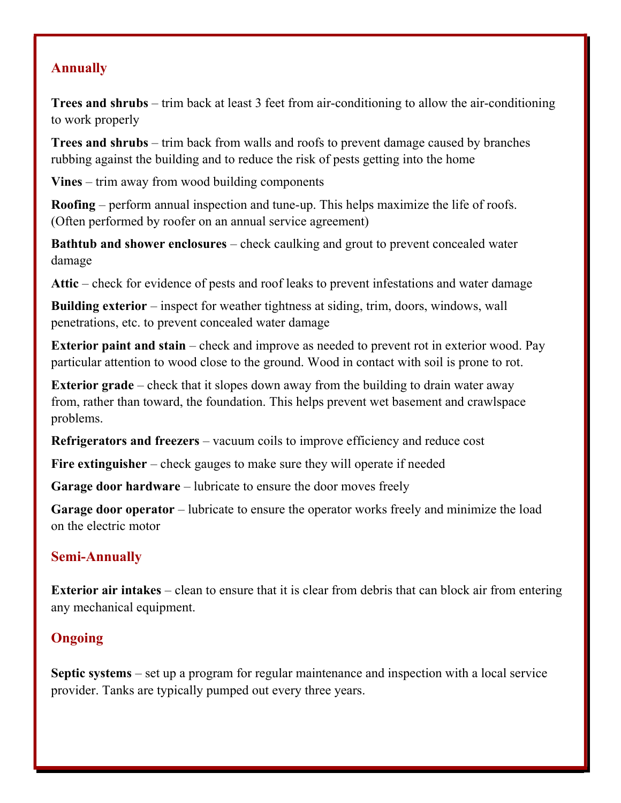#### Annually

Trees and shrubs – trim back at least 3 feet from air-conditioning to allow the air-conditioning to work properly

Trees and shrubs – trim back from walls and roofs to prevent damage caused by branches rubbing against the building and to reduce the risk of pests getting into the home

Vines – trim away from wood building components

Roofing – perform annual inspection and tune-up. This helps maximize the life of roofs. (Often performed by roofer on an annual service agreement)

Bathtub and shower enclosures – check caulking and grout to prevent concealed water damage

Attic – check for evidence of pests and roof leaks to prevent infestations and water damage

Building exterior – inspect for weather tightness at siding, trim, doors, windows, wall penetrations, etc. to prevent concealed water damage

Exterior paint and stain – check and improve as needed to prevent rot in exterior wood. Pay particular attention to wood close to the ground. Wood in contact with soil is prone to rot.

Exterior grade – check that it slopes down away from the building to drain water away from, rather than toward, the foundation. This helps prevent wet basement and crawlspace problems.

Refrigerators and freezers – vacuum coils to improve efficiency and reduce cost

Fire extinguisher – check gauges to make sure they will operate if needed

Garage door hardware – lubricate to ensure the door moves freely

Garage door operator – lubricate to ensure the operator works freely and minimize the load on the electric motor

#### Semi-Annually

Exterior air intakes – clean to ensure that it is clear from debris that can block air from entering any mechanical equipment.

## **Ongoing**

Septic systems – set up a program for regular maintenance and inspection with a local service provider. Tanks are typically pumped out every three years.